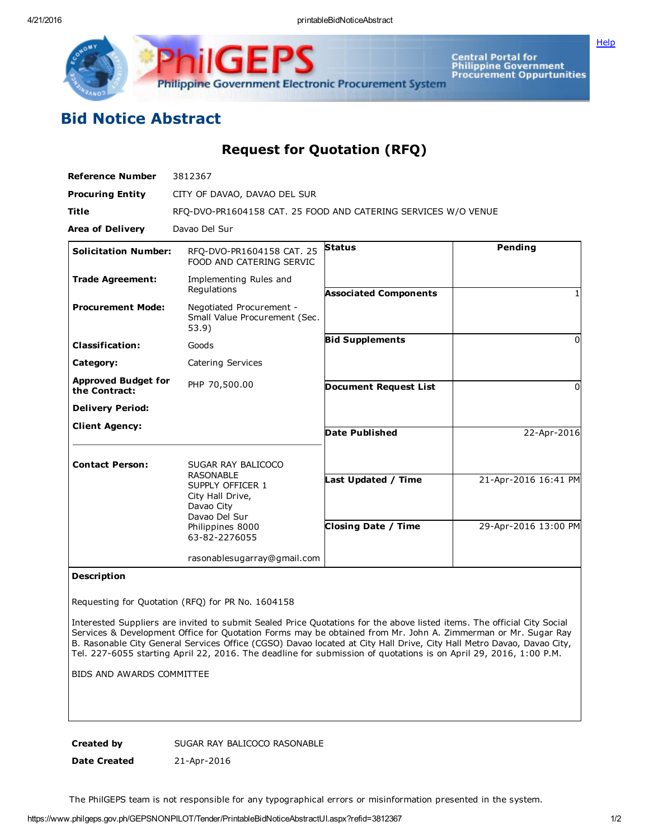Philippine Government Electronic Procurement System

Central Portal for<br>Philippine Government<br>Procurement Oppurtunities

**[Help](javascript:void(window.open()** 

## Bid Notice Abstract

Request for Quotation (RFQ)

| <b>Reference Number</b>                     | 3812367                                                                                                                                            |                                                   |                                              |
|---------------------------------------------|----------------------------------------------------------------------------------------------------------------------------------------------------|---------------------------------------------------|----------------------------------------------|
| <b>Procuring Entity</b>                     | CITY OF DAVAO, DAVAO DEL SUR                                                                                                                       |                                                   |                                              |
| <b>Title</b>                                | RFQ-DVO-PR1604158 CAT. 25 FOOD AND CATERING SERVICES W/O VENUE                                                                                     |                                                   |                                              |
| <b>Area of Delivery</b>                     | Davao Del Sur                                                                                                                                      |                                                   |                                              |
| <b>Solicitation Number:</b>                 | RFO-DVO-PR1604158 CAT. 25<br>FOOD AND CATERING SERVIC                                                                                              | <b>Status</b>                                     | Pending                                      |
| <b>Trade Agreement:</b>                     | Implementing Rules and<br>Regulations                                                                                                              | <b>Associated Components</b>                      |                                              |
| <b>Procurement Mode:</b>                    | Negotiated Procurement -<br>Small Value Procurement (Sec.<br>53.9)                                                                                 |                                                   |                                              |
| <b>Classification:</b>                      | Goods                                                                                                                                              | <b>Bid Supplements</b>                            | <sup>0</sup>                                 |
| Category:                                   | Catering Services                                                                                                                                  |                                                   |                                              |
| <b>Approved Budget for</b><br>the Contract: | PHP 70,500.00                                                                                                                                      | <b>Document Request List</b>                      | 0                                            |
| <b>Delivery Period:</b>                     |                                                                                                                                                    |                                                   |                                              |
| <b>Client Agency:</b>                       |                                                                                                                                                    | <b>Date Published</b>                             | 22-Apr-2016                                  |
| <b>Contact Person:</b>                      | SUGAR RAY BALICOCO<br><b>RASONABLE</b><br>SUPPLY OFFICER 1<br>City Hall Drive,<br>Davao City<br>Davao Del Sur<br>Philippines 8000<br>63-82-2276055 | Last Updated / Time<br><b>Closing Date / Time</b> | 21-Apr-2016 16:41 PM<br>29-Apr-2016 13:00 PM |
|                                             | rasonablesugarray@gmail.com                                                                                                                        |                                                   |                                              |

## Description

Requesting for Quotation (RFQ) for PR No. 1604158

Interested Suppliers are invited to submit Sealed Price Quotations for the above listed items. The official City Social Services & Development Office for Quotation Forms may be obtained from Mr. John A. Zimmerman or Mr. Sugar Ray B. Rasonable City General Services Office (CGSO) Davao located at City Hall Drive, City Hall Metro Davao, Davao City, Tel. 2276055 starting April 22, 2016. The deadline for submission of quotations is on April 29, 2016, 1:00 P.M.

BIDS AND AWARDS COMMITTEE

Created by SUGAR RAY BALICOCO RASONABLE

Date Created 21-Apr-2016

The PhilGEPS team is not responsible for any typographical errors or misinformation presented in the system.